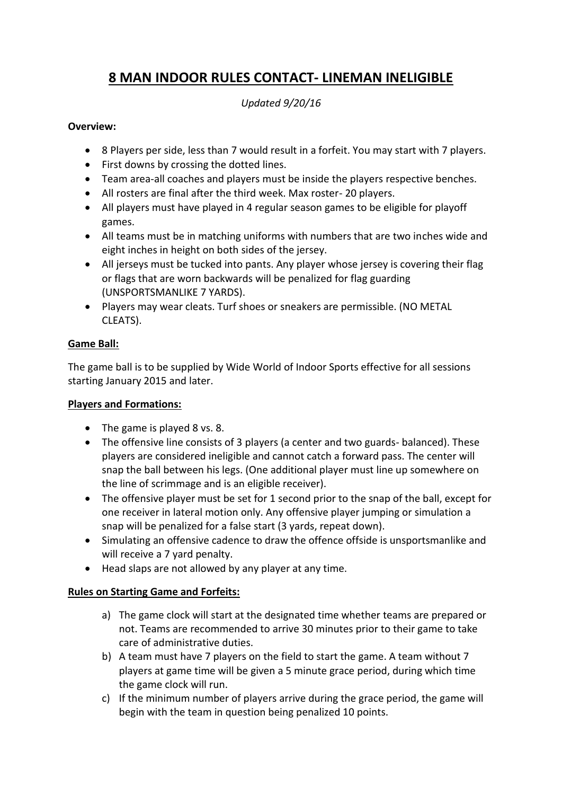# **8 MAN INDOOR RULES CONTACT- LINEMAN INELIGIBLE**

*Updated 9/20/16*

# **Overview:**

- 8 Players per side, less than 7 would result in a forfeit. You may start with 7 players.
- First downs by crossing the dotted lines.
- Team area-all coaches and players must be inside the players respective benches.
- All rosters are final after the third week. Max roster- 20 players.
- All players must have played in 4 regular season games to be eligible for playoff games.
- All teams must be in matching uniforms with numbers that are two inches wide and eight inches in height on both sides of the jersey.
- All jerseys must be tucked into pants. Any player whose jersey is covering their flag or flags that are worn backwards will be penalized for flag guarding (UNSPORTSMANLIKE 7 YARDS).
- Players may wear cleats. Turf shoes or sneakers are permissible. (NO METAL CLEATS).

# **Game Ball:**

The game ball is to be supplied by Wide World of Indoor Sports effective for all sessions starting January 2015 and later.

# **Players and Formations:**

- The game is played 8 vs. 8.
- The offensive line consists of 3 players (a center and two guards- balanced). These players are considered ineligible and cannot catch a forward pass. The center will snap the ball between his legs. (One additional player must line up somewhere on the line of scrimmage and is an eligible receiver).
- The offensive player must be set for 1 second prior to the snap of the ball, except for one receiver in lateral motion only. Any offensive player jumping or simulation a snap will be penalized for a false start (3 yards, repeat down).
- Simulating an offensive cadence to draw the offence offside is unsportsmanlike and will receive a 7 yard penalty.
- Head slaps are not allowed by any player at any time.

# **Rules on Starting Game and Forfeits:**

- a) The game clock will start at the designated time whether teams are prepared or not. Teams are recommended to arrive 30 minutes prior to their game to take care of administrative duties.
- b) A team must have 7 players on the field to start the game. A team without 7 players at game time will be given a 5 minute grace period, during which time the game clock will run.
- c) If the minimum number of players arrive during the grace period, the game will begin with the team in question being penalized 10 points.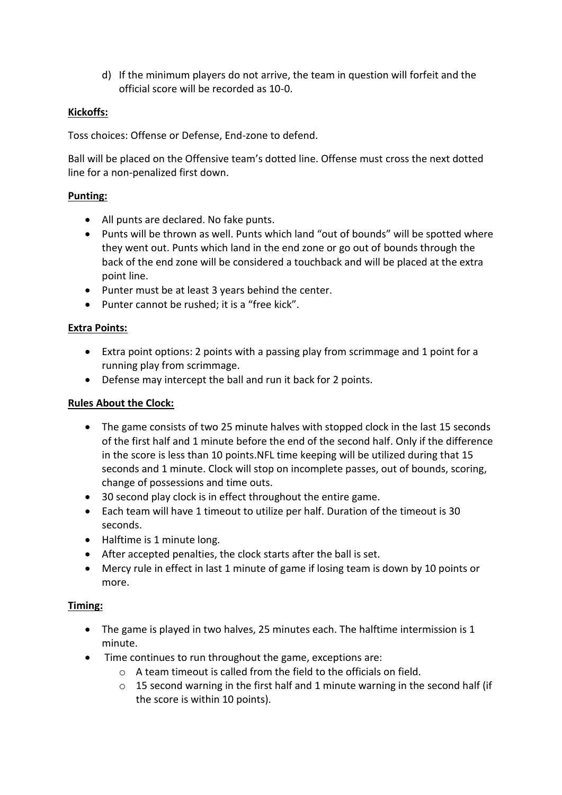d) If the minimum players do not arrive, the team in question will forfeit and the official score will be recorded as 10-0.

# **Kickoffs:**

Toss choices: Offense or Defense, End-zone to defend.

Ball will be placed on the Offensive team's dotted line. Offense must cross the next dotted line for a non-penalized first down.

# **Punting:**

- All punts are declared. No fake punts.
- Punts will be thrown as well. Punts which land "out of bounds" will be spotted where they went out. Punts which land in the end zone or go out of bounds through the back of the end zone will be considered a touchback and will be placed at the extra point line.
- Punter must be at least 3 years behind the center.
- Punter cannot be rushed; it is a "free kick".

# **Extra Points:**

- Extra point options: 2 points with a passing play from scrimmage and 1 point for a running play from scrimmage.
- Defense may intercept the ball and run it back for 2 points.

# **Rules About the Clock:**

- The game consists of two 25 minute halves with stopped clock in the last 15 seconds of the first half and 1 minute before the end of the second half. Only if the difference in the score is less than 10 points.NFL time keeping will be utilized during that 15 seconds and 1 minute. Clock will stop on incomplete passes, out of bounds, scoring, change of possessions and time outs.
- 30 second play clock is in effect throughout the entire game.
- Each team will have 1 timeout to utilize per half. Duration of the timeout is 30 seconds.
- Halftime is 1 minute long.
- After accepted penalties, the clock starts after the ball is set.
- Mercy rule in effect in last 1 minute of game if losing team is down by 10 points or more.

# **Timing:**

- The game is played in two halves, 25 minutes each. The halftime intermission is 1 minute.
- Time continues to run throughout the game, exceptions are:
	- o A team timeout is called from the field to the officials on field.
	- $\circ$  15 second warning in the first half and 1 minute warning in the second half (if the score is within 10 points).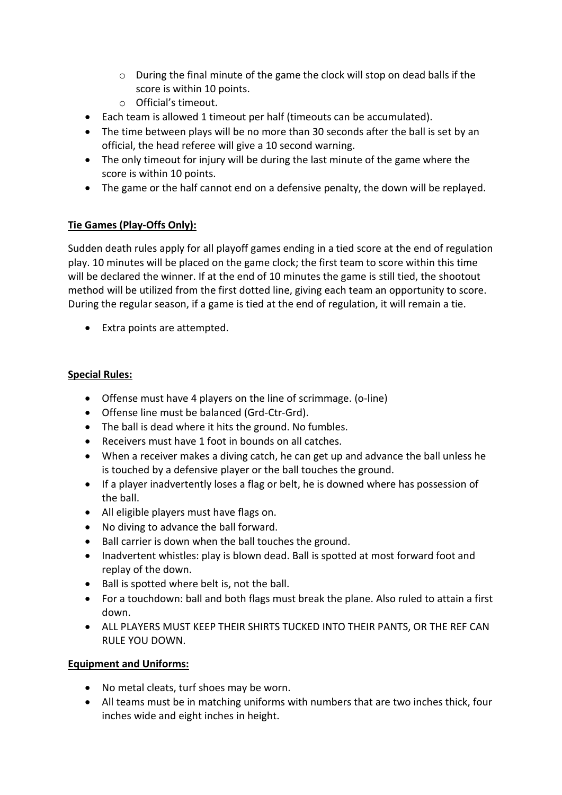- o During the final minute of the game the clock will stop on dead balls if the score is within 10 points.
- o Official's timeout.
- Each team is allowed 1 timeout per half (timeouts can be accumulated).
- The time between plays will be no more than 30 seconds after the ball is set by an official, the head referee will give a 10 second warning.
- The only timeout for injury will be during the last minute of the game where the score is within 10 points.
- The game or the half cannot end on a defensive penalty, the down will be replayed.

# **Tie Games (Play-Offs Only):**

Sudden death rules apply for all playoff games ending in a tied score at the end of regulation play. 10 minutes will be placed on the game clock; the first team to score within this time will be declared the winner. If at the end of 10 minutes the game is still tied, the shootout method will be utilized from the first dotted line, giving each team an opportunity to score. During the regular season, if a game is tied at the end of regulation, it will remain a tie.

• Extra points are attempted.

# **Special Rules:**

- Offense must have 4 players on the line of scrimmage. (o-line)
- Offense line must be balanced (Grd-Ctr-Grd).
- The ball is dead where it hits the ground. No fumbles.
- Receivers must have 1 foot in bounds on all catches.
- When a receiver makes a diving catch, he can get up and advance the ball unless he is touched by a defensive player or the ball touches the ground.
- If a player inadvertently loses a flag or belt, he is downed where has possession of the ball.
- All eligible players must have flags on.
- No diving to advance the ball forward.
- Ball carrier is down when the ball touches the ground.
- Inadvertent whistles: play is blown dead. Ball is spotted at most forward foot and replay of the down.
- Ball is spotted where belt is, not the ball.
- For a touchdown: ball and both flags must break the plane. Also ruled to attain a first down.
- ALL PLAYERS MUST KEEP THEIR SHIRTS TUCKED INTO THEIR PANTS, OR THE REF CAN RULE YOU DOWN.

# **Equipment and Uniforms:**

- No metal cleats, turf shoes may be worn.
- All teams must be in matching uniforms with numbers that are two inches thick, four inches wide and eight inches in height.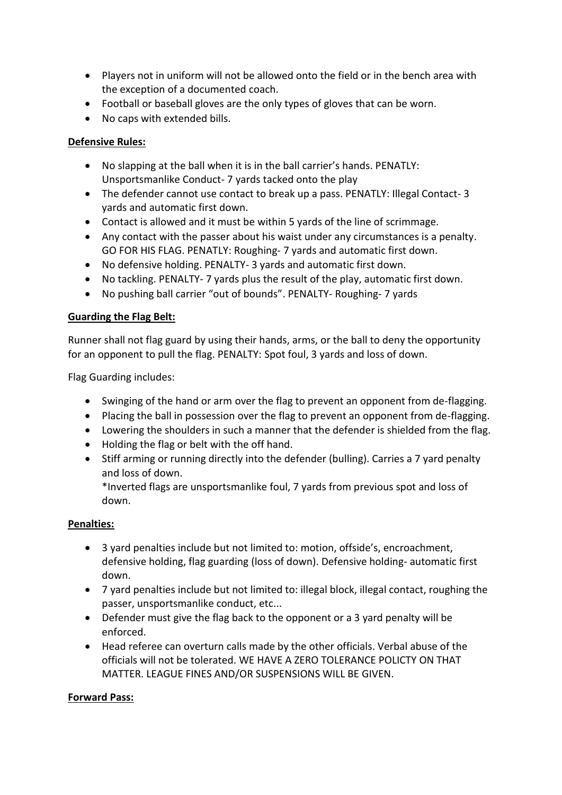- Players not in uniform will not be allowed onto the field or in the bench area with the exception of a documented coach.
- Football or baseball gloves are the only types of gloves that can be worn.
- No caps with extended bills.

# **Defensive Rules:**

- No slapping at the ball when it is in the ball carrier's hands. PENATLY: Unsportsmanlike Conduct- 7 yards tacked onto the play
- The defender cannot use contact to break up a pass. PENATLY: Illegal Contact- 3 yards and automatic first down.
- Contact is allowed and it must be within 5 yards of the line of scrimmage.
- Any contact with the passer about his waist under any circumstances is a penalty. GO FOR HIS FLAG. PENATLY: Roughing- 7 yards and automatic first down.
- No defensive holding. PENALTY- 3 yards and automatic first down.
- No tackling. PENALTY- 7 yards plus the result of the play, automatic first down.
- No pushing ball carrier "out of bounds". PENALTY- Roughing- 7 yards

#### **Guarding the Flag Belt:**

Runner shall not flag guard by using their hands, arms, or the ball to deny the opportunity for an opponent to pull the flag. PENALTY: Spot foul, 3 yards and loss of down.

Flag Guarding includes:

- Swinging of the hand or arm over the flag to prevent an opponent from de-flagging.
- Placing the ball in possession over the flag to prevent an opponent from de-flagging.
- Lowering the shoulders in such a manner that the defender is shielded from the flag.
- Holding the flag or belt with the off hand.
- Stiff arming or running directly into the defender (bulling). Carries a 7 yard penalty and loss of down.

\*Inverted flags are unsportsmanlike foul, 7 yards from previous spot and loss of down.

#### **Penalties:**

- 3 yard penalties include but not limited to: motion, offside's, encroachment, defensive holding, flag guarding (loss of down). Defensive holding- automatic first down.
- 7 yard penalties include but not limited to: illegal block, illegal contact, roughing the passer, unsportsmanlike conduct, etc...
- Defender must give the flag back to the opponent or a 3 yard penalty will be enforced.
- Head referee can overturn calls made by the other officials. Verbal abuse of the officials will not be tolerated. WE HAVE A ZERO TOLERANCE POLICTY ON THAT MATTER. LEAGUE FINES AND/OR SUSPENSIONS WILL BE GIVEN.

#### **Forward Pass:**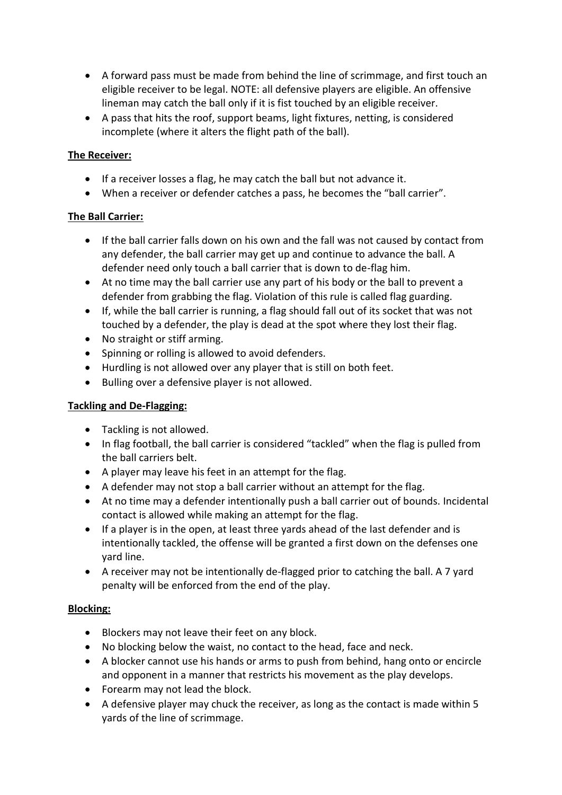- A forward pass must be made from behind the line of scrimmage, and first touch an eligible receiver to be legal. NOTE: all defensive players are eligible. An offensive lineman may catch the ball only if it is fist touched by an eligible receiver.
- A pass that hits the roof, support beams, light fixtures, netting, is considered incomplete (where it alters the flight path of the ball).

# **The Receiver:**

- If a receiver losses a flag, he may catch the ball but not advance it.
- When a receiver or defender catches a pass, he becomes the "ball carrier".

# **The Ball Carrier:**

- If the ball carrier falls down on his own and the fall was not caused by contact from any defender, the ball carrier may get up and continue to advance the ball. A defender need only touch a ball carrier that is down to de-flag him.
- At no time may the ball carrier use any part of his body or the ball to prevent a defender from grabbing the flag. Violation of this rule is called flag guarding.
- If, while the ball carrier is running, a flag should fall out of its socket that was not touched by a defender, the play is dead at the spot where they lost their flag.
- No straight or stiff arming.
- Spinning or rolling is allowed to avoid defenders.
- Hurdling is not allowed over any player that is still on both feet.
- Bulling over a defensive player is not allowed.

# **Tackling and De-Flagging:**

- Tackling is not allowed.
- In flag football, the ball carrier is considered "tackled" when the flag is pulled from the ball carriers belt.
- A player may leave his feet in an attempt for the flag.
- A defender may not stop a ball carrier without an attempt for the flag.
- At no time may a defender intentionally push a ball carrier out of bounds. Incidental contact is allowed while making an attempt for the flag.
- If a player is in the open, at least three yards ahead of the last defender and is intentionally tackled, the offense will be granted a first down on the defenses one yard line.
- A receiver may not be intentionally de-flagged prior to catching the ball. A 7 yard penalty will be enforced from the end of the play.

# **Blocking:**

- Blockers may not leave their feet on any block.
- No blocking below the waist, no contact to the head, face and neck.
- A blocker cannot use his hands or arms to push from behind, hang onto or encircle and opponent in a manner that restricts his movement as the play develops.
- Forearm may not lead the block.
- A defensive player may chuck the receiver, as long as the contact is made within 5 yards of the line of scrimmage.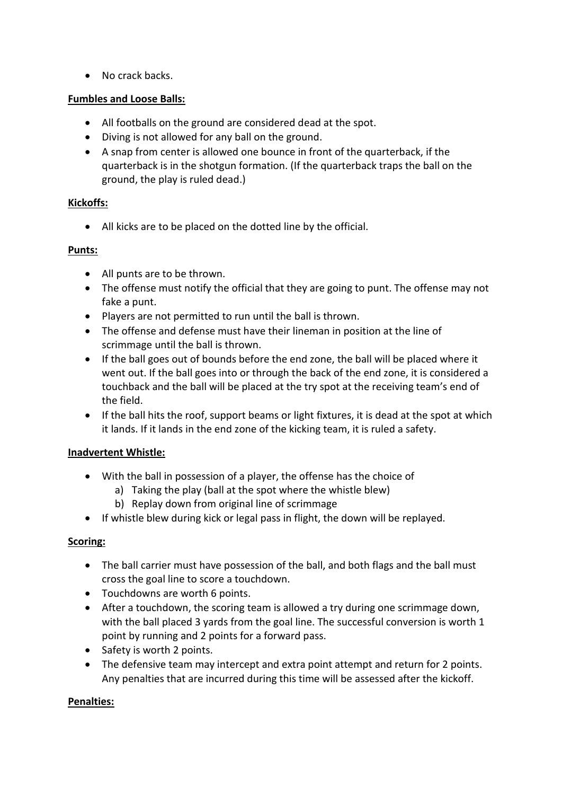• No crack backs.

# **Fumbles and Loose Balls:**

- All footballs on the ground are considered dead at the spot.
- Diving is not allowed for any ball on the ground.
- A snap from center is allowed one bounce in front of the quarterback, if the quarterback is in the shotgun formation. (If the quarterback traps the ball on the ground, the play is ruled dead.)

# **Kickoffs:**

All kicks are to be placed on the dotted line by the official.

# **Punts:**

- All punts are to be thrown.
- The offense must notify the official that they are going to punt. The offense may not fake a punt.
- Players are not permitted to run until the ball is thrown.
- The offense and defense must have their lineman in position at the line of scrimmage until the ball is thrown.
- If the ball goes out of bounds before the end zone, the ball will be placed where it went out. If the ball goes into or through the back of the end zone, it is considered a touchback and the ball will be placed at the try spot at the receiving team's end of the field.
- If the ball hits the roof, support beams or light fixtures, it is dead at the spot at which it lands. If it lands in the end zone of the kicking team, it is ruled a safety.

# **Inadvertent Whistle:**

- With the ball in possession of a player, the offense has the choice of
	- a) Taking the play (ball at the spot where the whistle blew)
	- b) Replay down from original line of scrimmage
- If whistle blew during kick or legal pass in flight, the down will be replayed.

# **Scoring:**

- The ball carrier must have possession of the ball, and both flags and the ball must cross the goal line to score a touchdown.
- Touchdowns are worth 6 points.
- After a touchdown, the scoring team is allowed a try during one scrimmage down, with the ball placed 3 yards from the goal line. The successful conversion is worth 1 point by running and 2 points for a forward pass.
- Safety is worth 2 points.
- The defensive team may intercept and extra point attempt and return for 2 points. Any penalties that are incurred during this time will be assessed after the kickoff.

# **Penalties:**